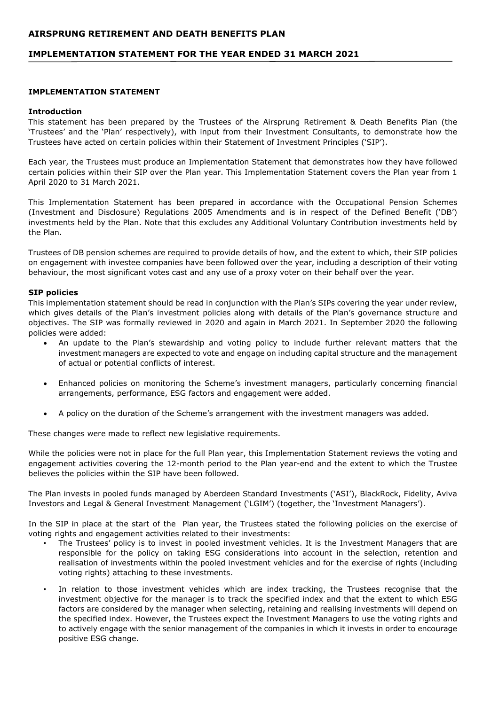## **IMPLEMENTATION STATEMENT FOR THE YEAR ENDED 31 MARCH 2021**

### **IMPLEMENTATION STATEMENT**

#### **Introduction**

This statement has been prepared by the Trustees of the Airsprung Retirement & Death Benefits Plan (the 'Trustees' and the 'Plan' respectively), with input from their Investment Consultants, to demonstrate how the Trustees have acted on certain policies within their Statement of Investment Principles ('SIP').

Each year, the Trustees must produce an Implementation Statement that demonstrates how they have followed certain policies within their SIP over the Plan year. This Implementation Statement covers the Plan year from 1 April 2020 to 31 March 2021.

This Implementation Statement has been prepared in accordance with the Occupational Pension Schemes (Investment and Disclosure) Regulations 2005 Amendments and is in respect of the Defined Benefit ('DB') investments held by the Plan. Note that this excludes any Additional Voluntary Contribution investments held by the Plan.

Trustees of DB pension schemes are required to provide details of how, and the extent to which, their SIP policies on engagement with investee companies have been followed over the year, including a description of their voting behaviour, the most significant votes cast and any use of a proxy voter on their behalf over the year.

#### **SIP policies**

This implementation statement should be read in conjunction with the Plan's SIPs covering the year under review, which gives details of the Plan's investment policies along with details of the Plan's governance structure and objectives. The SIP was formally reviewed in 2020 and again in March 2021. In September 2020 the following policies were added:

- An update to the Plan's stewardship and voting policy to include further relevant matters that the investment managers are expected to vote and engage on including capital structure and the management of actual or potential conflicts of interest.
- Enhanced policies on monitoring the Scheme's investment managers, particularly concerning financial arrangements, performance, ESG factors and engagement were added.
- A policy on the duration of the Scheme's arrangement with the investment managers was added.

These changes were made to reflect new legislative requirements.

While the policies were not in place for the full Plan year, this Implementation Statement reviews the voting and engagement activities covering the 12-month period to the Plan year-end and the extent to which the Trustee believes the policies within the SIP have been followed.

The Plan invests in pooled funds managed by Aberdeen Standard Investments ('ASI'), BlackRock, Fidelity, Aviva Investors and Legal & General Investment Management ('LGIM') (together, the 'Investment Managers').

In the SIP in place at the start of the Plan year, the Trustees stated the following policies on the exercise of voting rights and engagement activities related to their investments:

- The Trustees' policy is to invest in pooled investment vehicles. It is the Investment Managers that are responsible for the policy on taking ESG considerations into account in the selection, retention and realisation of investments within the pooled investment vehicles and for the exercise of rights (including voting rights) attaching to these investments.
- In relation to those investment vehicles which are index tracking, the Trustees recognise that the investment objective for the manager is to track the specified index and that the extent to which ESG factors are considered by the manager when selecting, retaining and realising investments will depend on the specified index. However, the Trustees expect the Investment Managers to use the voting rights and to actively engage with the senior management of the companies in which it invests in order to encourage positive ESG change.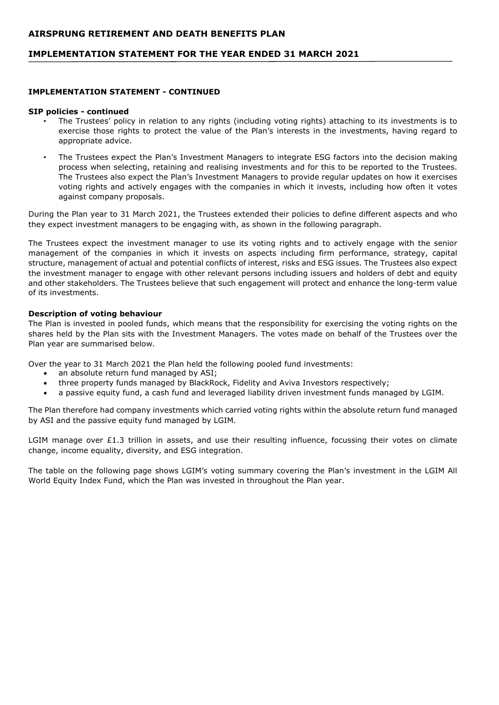## **IMPLEMENTATION STATEMENT FOR THE YEAR ENDED 31 MARCH 2021**

### **IMPLEMENTATION STATEMENT - CONTINUED**

#### **SIP policies - continued**

- The Trustees' policy in relation to any rights (including voting rights) attaching to its investments is to exercise those rights to protect the value of the Plan's interests in the investments, having regard to appropriate advice.
- The Trustees expect the Plan's Investment Managers to integrate ESG factors into the decision making process when selecting, retaining and realising investments and for this to be reported to the Trustees. The Trustees also expect the Plan's Investment Managers to provide regular updates on how it exercises voting rights and actively engages with the companies in which it invests, including how often it votes against company proposals.

During the Plan year to 31 March 2021, the Trustees extended their policies to define different aspects and who they expect investment managers to be engaging with, as shown in the following paragraph.

The Trustees expect the investment manager to use its voting rights and to actively engage with the senior management of the companies in which it invests on aspects including firm performance, strategy, capital structure, management of actual and potential conflicts of interest, risks and ESG issues. The Trustees also expect the investment manager to engage with other relevant persons including issuers and holders of debt and equity and other stakeholders. The Trustees believe that such engagement will protect and enhance the long-term value of its investments.

### **Description of voting behaviour**

The Plan is invested in pooled funds, which means that the responsibility for exercising the voting rights on the shares held by the Plan sits with the Investment Managers. The votes made on behalf of the Trustees over the Plan year are summarised below.

Over the year to 31 March 2021 the Plan held the following pooled fund investments:

- an absolute return fund managed by ASI;
- three property funds managed by BlackRock, Fidelity and Aviva Investors respectively;
- a passive equity fund, a cash fund and leveraged liability driven investment funds managed by LGIM.

The Plan therefore had company investments which carried voting rights within the absolute return fund managed by ASI and the passive equity fund managed by LGIM.

LGIM manage over £1.3 trillion in assets, and use their resulting influence, focussing their votes on climate change, income equality, diversity, and ESG integration.

The table on the following page shows LGIM's voting summary covering the Plan's investment in the LGIM All World Equity Index Fund, which the Plan was invested in throughout the Plan year.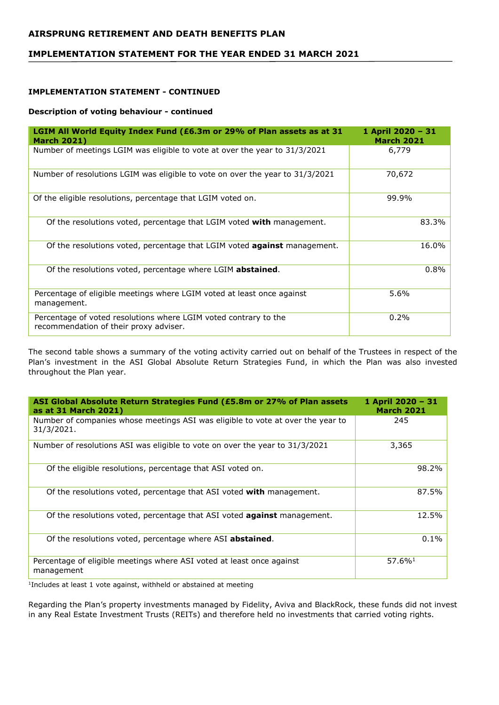# **IMPLEMENTATION STATEMENT FOR THE YEAR ENDED 31 MARCH 2021**

## **IMPLEMENTATION STATEMENT - CONTINUED**

### **Description of voting behaviour - continued**

| LGIM All World Equity Index Fund (£6.3m or 29% of Plan assets as at 31<br><b>March 2021)</b>               | 1 April 2020 - 31<br><b>March 2021</b> |
|------------------------------------------------------------------------------------------------------------|----------------------------------------|
| Number of meetings LGIM was eligible to vote at over the year to 31/3/2021                                 | 6,779                                  |
| Number of resolutions LGIM was eligible to vote on over the year to 31/3/2021                              | 70,672                                 |
| Of the eligible resolutions, percentage that LGIM voted on.                                                | 99.9%                                  |
| Of the resolutions voted, percentage that LGIM voted with management.                                      | 83.3%                                  |
| Of the resolutions voted, percentage that LGIM voted <b>against</b> management.                            | 16.0%                                  |
| Of the resolutions voted, percentage where LGIM abstained.                                                 | 0.8%                                   |
| Percentage of eligible meetings where LGIM voted at least once against<br>management.                      | 5.6%                                   |
| Percentage of voted resolutions where LGIM voted contrary to the<br>recommendation of their proxy adviser. | 0.2%                                   |

The second table shows a summary of the voting activity carried out on behalf of the Trustees in respect of the Plan's investment in the ASI Global Absolute Return Strategies Fund, in which the Plan was also invested throughout the Plan year.

| ASI Global Absolute Return Strategies Fund (£5.8m or 27% of Plan assets<br>as at 31 March 2021) | 1 April 2020 - 31<br><b>March 2021</b> |
|-------------------------------------------------------------------------------------------------|----------------------------------------|
| Number of companies whose meetings ASI was eligible to vote at over the year to<br>31/3/2021.   | 245                                    |
| Number of resolutions ASI was eligible to vote on over the year to 31/3/2021                    | 3,365                                  |
| Of the eligible resolutions, percentage that ASI voted on.                                      | 98.2%                                  |
| Of the resolutions voted, percentage that ASI voted with management.                            | 87.5%                                  |
| Of the resolutions voted, percentage that ASI voted <b>against</b> management.                  | 12.5%                                  |
| Of the resolutions voted, percentage where ASI abstained.                                       | 0.1%                                   |
| Percentage of eligible meetings where ASI voted at least once against<br>management             | $57.6\%$ <sup>1</sup>                  |

<sup>1</sup>Includes at least 1 vote against, withheld or abstained at meeting

Regarding the Plan's property investments managed by Fidelity, Aviva and BlackRock, these funds did not invest in any Real Estate Investment Trusts (REITs) and therefore held no investments that carried voting rights.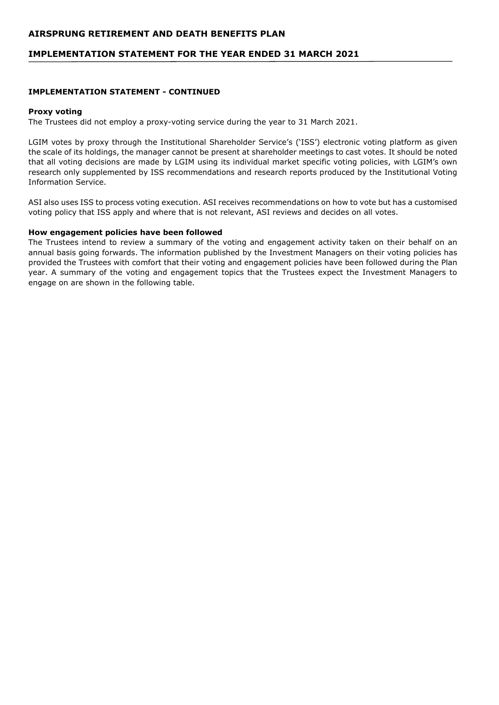## **IMPLEMENTATION STATEMENT FOR THE YEAR ENDED 31 MARCH 2021**

### **IMPLEMENTATION STATEMENT - CONTINUED**

#### **Proxy voting**

The Trustees did not employ a proxy-voting service during the year to 31 March 2021.

LGIM votes by proxy through the Institutional Shareholder Service's ('ISS') electronic voting platform as given the scale of its holdings, the manager cannot be present at shareholder meetings to cast votes. It should be noted that all voting decisions are made by LGIM using its individual market specific voting policies, with LGIM's own research only supplemented by ISS recommendations and research reports produced by the Institutional Voting Information Service.

ASI also uses ISS to process voting execution. ASI receives recommendations on how to vote but has a customised voting policy that ISS apply and where that is not relevant, ASI reviews and decides on all votes.

#### **How engagement policies have been followed**

The Trustees intend to review a summary of the voting and engagement activity taken on their behalf on an annual basis going forwards. The information published by the Investment Managers on their voting policies has provided the Trustees with comfort that their voting and engagement policies have been followed during the Plan year. A summary of the voting and engagement topics that the Trustees expect the Investment Managers to engage on are shown in the following table.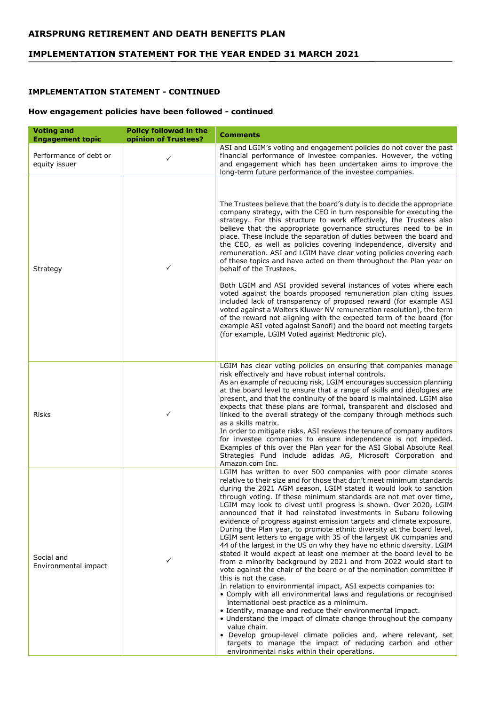# **IMPLEMENTATION STATEMENT FOR THE YEAR ENDED 31 MARCH 2021**

### **IMPLEMENTATION STATEMENT - CONTINUED**

## **How engagement policies have been followed - continued**

| <b>Voting and</b><br><b>Engagement topic</b> | <b>Policy followed in the</b><br>opinion of Trustees? | <b>Comments</b>                                                                                                                                                                                                                                                                                                                                                                                                                                                                                                                                                                                                                                                                                                                                                                                                                                                                                                                                                                                                                                                                                                                                                                                                                                                                                                                                                                                                                                                                                |
|----------------------------------------------|-------------------------------------------------------|------------------------------------------------------------------------------------------------------------------------------------------------------------------------------------------------------------------------------------------------------------------------------------------------------------------------------------------------------------------------------------------------------------------------------------------------------------------------------------------------------------------------------------------------------------------------------------------------------------------------------------------------------------------------------------------------------------------------------------------------------------------------------------------------------------------------------------------------------------------------------------------------------------------------------------------------------------------------------------------------------------------------------------------------------------------------------------------------------------------------------------------------------------------------------------------------------------------------------------------------------------------------------------------------------------------------------------------------------------------------------------------------------------------------------------------------------------------------------------------------|
| Performance of debt or<br>equity issuer      | $\checkmark$                                          | ASI and LGIM's voting and engagement policies do not cover the past<br>financial performance of investee companies. However, the voting<br>and engagement which has been undertaken aims to improve the<br>long-term future performance of the investee companies.                                                                                                                                                                                                                                                                                                                                                                                                                                                                                                                                                                                                                                                                                                                                                                                                                                                                                                                                                                                                                                                                                                                                                                                                                             |
| Strategy                                     | ✓                                                     | The Trustees believe that the board's duty is to decide the appropriate<br>company strategy, with the CEO in turn responsible for executing the<br>strategy. For this structure to work effectively, the Trustees also<br>believe that the appropriate governance structures need to be in<br>place. These include the separation of duties between the board and<br>the CEO, as well as policies covering independence, diversity and<br>remuneration. ASI and LGIM have clear voting policies covering each<br>of these topics and have acted on them throughout the Plan year on<br>behalf of the Trustees.<br>Both LGIM and ASI provided several instances of votes where each<br>voted against the boards proposed remuneration plan citing issues<br>included lack of transparency of proposed reward (for example ASI<br>voted against a Wolters Kluwer NV remuneration resolution), the term<br>of the reward not aligning with the expected term of the board (for<br>example ASI voted against Sanofi) and the board not meeting targets<br>(for example, LGIM Voted against Medtronic plc).                                                                                                                                                                                                                                                                                                                                                                                         |
| Risks                                        | ✓                                                     | LGIM has clear voting policies on ensuring that companies manage<br>risk effectively and have robust internal controls.<br>As an example of reducing risk, LGIM encourages succession planning<br>at the board level to ensure that a range of skills and ideologies are<br>present, and that the continuity of the board is maintained. LGIM also<br>expects that these plans are formal, transparent and disclosed and<br>linked to the overall strategy of the company through methods such<br>as a skills matrix.<br>In order to mitigate risks, ASI reviews the tenure of company auditors<br>for investee companies to ensure independence is not impeded.<br>Examples of this over the Plan year for the ASI Global Absolute Real<br>Strategies Fund include adidas AG, Microsoft Corporation and<br>Amazon.com Inc.                                                                                                                                                                                                                                                                                                                                                                                                                                                                                                                                                                                                                                                                    |
| Social and<br>Environmental impact           | ✓                                                     | LGIM has written to over 500 companies with poor climate scores<br>relative to their size and for those that don't meet minimum standards<br>during the 2021 AGM season, LGIM stated it would look to sanction<br>through voting. If these minimum standards are not met over time,<br>LGIM may look to divest until progress is shown. Over 2020, LGIM<br>announced that it had reinstated investments in Subaru following<br>evidence of progress against emission targets and climate exposure.<br>During the Plan year, to promote ethnic diversity at the board level,<br>LGIM sent letters to engage with 35 of the largest UK companies and<br>44 of the largest in the US on why they have no ethnic diversity. LGIM<br>stated it would expect at least one member at the board level to be<br>from a minority background by 2021 and from 2022 would start to<br>vote against the chair of the board or of the nomination committee if<br>this is not the case.<br>In relation to environmental impact, ASI expects companies to:<br>• Comply with all environmental laws and regulations or recognised<br>international best practice as a minimum.<br>• Identify, manage and reduce their environmental impact.<br>• Understand the impact of climate change throughout the company<br>value chain.<br>• Develop group-level climate policies and, where relevant, set<br>targets to manage the impact of reducing carbon and other<br>environmental risks within their operations. |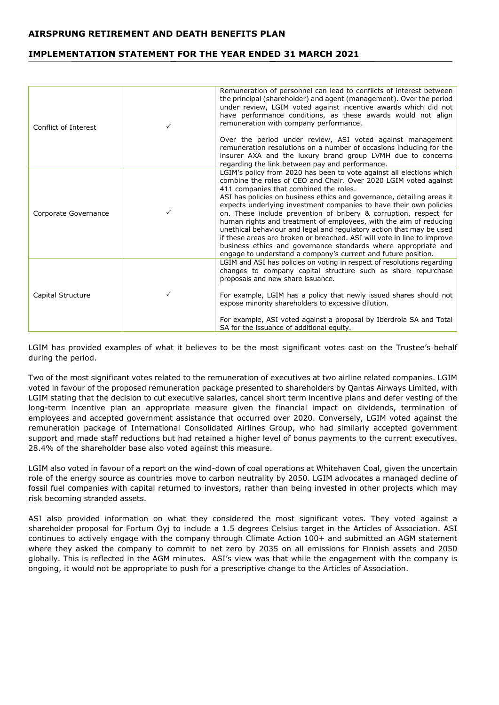# **IMPLEMENTATION STATEMENT FOR THE YEAR ENDED 31 MARCH 2021**

| Conflict of Interest | Remuneration of personnel can lead to conflicts of interest between<br>the principal (shareholder) and agent (management). Over the period<br>under review, LGIM voted against incentive awards which did not<br>have performance conditions, as these awards would not align<br>remuneration with company performance.                                                                                                                                                                                                                                                                                                                                                                                                                                            |
|----------------------|--------------------------------------------------------------------------------------------------------------------------------------------------------------------------------------------------------------------------------------------------------------------------------------------------------------------------------------------------------------------------------------------------------------------------------------------------------------------------------------------------------------------------------------------------------------------------------------------------------------------------------------------------------------------------------------------------------------------------------------------------------------------|
|                      | Over the period under review, ASI voted against management<br>remuneration resolutions on a number of occasions including for the<br>insurer AXA and the luxury brand group LVMH due to concerns<br>regarding the link between pay and performance.                                                                                                                                                                                                                                                                                                                                                                                                                                                                                                                |
| Corporate Governance | LGIM's policy from 2020 has been to vote against all elections which<br>combine the roles of CEO and Chair. Over 2020 LGIM voted against<br>411 companies that combined the roles.<br>ASI has policies on business ethics and governance, detailing areas it<br>expects underlying investment companies to have their own policies<br>on. These include prevention of bribery & corruption, respect for<br>human rights and treatment of employees, with the aim of reducing<br>unethical behaviour and legal and regulatory action that may be used<br>if these areas are broken or breached. ASI will vote in line to improve<br>business ethics and governance standards where appropriate and<br>engage to understand a company's current and future position. |
| Capital Structure    | LGIM and ASI has policies on voting in respect of resolutions regarding<br>changes to company capital structure such as share repurchase<br>proposals and new share issuance.<br>For example, LGIM has a policy that newly issued shares should not<br>expose minority shareholders to excessive dilution.<br>For example, ASI voted against a proposal by Iberdrola SA and Total<br>SA for the issuance of additional equity.                                                                                                                                                                                                                                                                                                                                     |

LGIM has provided examples of what it believes to be the most significant votes cast on the Trustee's behalf during the period.

Two of the most significant votes related to the remuneration of executives at two airline related companies. LGIM voted in favour of the proposed remuneration package presented to shareholders by Qantas Airways Limited, with LGIM stating that the decision to cut executive salaries, cancel short term incentive plans and defer vesting of the long-term incentive plan an appropriate measure given the financial impact on dividends, termination of employees and accepted government assistance that occurred over 2020. Conversely, LGIM voted against the remuneration package of International Consolidated Airlines Group, who had similarly accepted government support and made staff reductions but had retained a higher level of bonus payments to the current executives. 28.4% of the shareholder base also voted against this measure.

LGIM also voted in favour of a report on the wind-down of coal operations at Whitehaven Coal, given the uncertain role of the energy source as countries move to carbon neutrality by 2050. LGIM advocates a managed decline of fossil fuel companies with capital returned to investors, rather than being invested in other projects which may risk becoming stranded assets.

ASI also provided information on what they considered the most significant votes. They voted against a shareholder proposal for Fortum Oyj to include a 1.5 degrees Celsius target in the Articles of Association. ASI continues to actively engage with the company through Climate Action 100+ and submitted an AGM statement where they asked the company to commit to net zero by 2035 on all emissions for Finnish assets and 2050 globally. This is reflected in the AGM minutes. ASI's view was that while the engagement with the company is ongoing, it would not be appropriate to push for a prescriptive change to the Articles of Association.